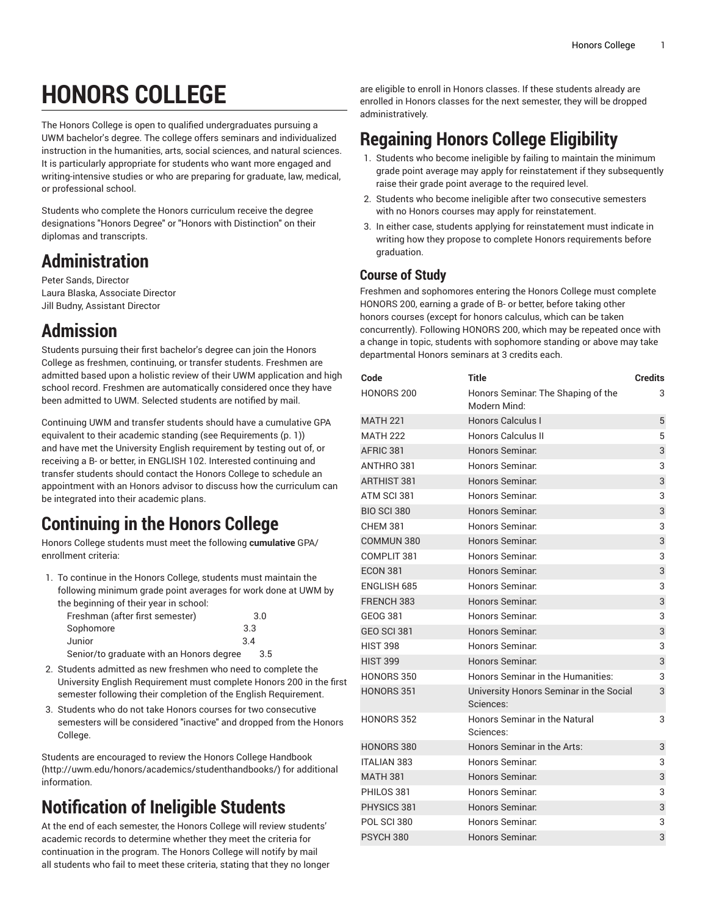# **HONORS COLLEGE**

The Honors College is open to qualified undergraduates pursuing a UWM bachelor's degree. The college offers seminars and individualized instruction in the humanities, arts, social sciences, and natural sciences. It is particularly appropriate for students who want more engaged and writing-intensive studies or who are preparing for graduate, law, medical, or professional school.

Students who complete the Honors curriculum receive the degree designations "Honors Degree" or "Honors with Distinction" on their diplomas and transcripts.

## **Administration**

Peter Sands, Director Laura Blaska, Associate Director Jill Budny, Assistant Director

### **Admission**

Students pursuing their first bachelor's degree can join the Honors College as freshmen, continuing, or transfer students. Freshmen are admitted based upon a holistic review of their UWM application and high school record. Freshmen are automatically considered once they have been admitted to UWM. Selected students are notified by mail.

Continuing UWM and transfer students should have a cumulative GPA equivalent to their academic standing (see [Requirements \(p. 1](#page-0-0))) and have met the University English requirement by testing out of, or receiving a B- or better, in [ENGLISH 102.](/search/?P=ENGLISH%20102) Interested continuing and transfer students should contact the Honors College to schedule an appointment with an Honors advisor to discuss how the curriculum can be integrated into their academic plans.

# <span id="page-0-0"></span>**Continuing in the Honors College**

Honors College students must meet the following **cumulative** GPA/ enrollment criteria:

1. To continue in the Honors College, students must maintain the following minimum grade point averages for work done at UWM by the beginning of their year in school:

| Freshman (after first semester)          |     | 3.0 |
|------------------------------------------|-----|-----|
| Sophomore                                | 3.3 |     |
| Junior                                   | 3.4 |     |
| Senior/to graduate with an Honors degree |     | 3.5 |

- 2. Students admitted as new freshmen who need to complete the University English Requirement must complete Honors 200 in the first semester following their completion of the English Requirement.
- 3. Students who do not take Honors courses for two consecutive semesters will be considered "inactive" and dropped from the Honors College.

Students are encouraged to review the [Honors College Handbook](http://uwm.edu/honors/academics/studenthandbooks/) (<http://uwm.edu/honors/academics/studenthandbooks/>) for additional information.

# **Notification of Ineligible Students**

At the end of each semester, the Honors College will review students' academic records to determine whether they meet the criteria for continuation in the program. The Honors College will notify by mail all students who fail to meet these criteria, stating that they no longer are eligible to enroll in Honors classes. If these students already are enrolled in Honors classes for the next semester, they will be dropped administratively.

## **Regaining Honors College Eligibility**

- 1. Students who become ineligible by failing to maintain the minimum grade point average may apply for reinstatement if they subsequently raise their grade point average to the required level.
- 2. Students who become ineligible after two consecutive semesters with no Honors courses may apply for reinstatement.
- 3. In either case, students applying for reinstatement must indicate in writing how they propose to complete Honors requirements before graduation.

#### **Course of Study**

Freshmen and sophomores entering the Honors College must complete HONORS 200, earning a grade of B- or better, before taking other honors courses (except for honors calculus, which can be taken concurrently). Following HONORS 200, which may be repeated once with a change in topic, students with sophomore standing or above may take departmental Honors seminars at 3 credits each.

| Code               | <b>Title</b>                                         | <b>Credits</b> |
|--------------------|------------------------------------------------------|----------------|
| HONORS 200         | Honors Seminar. The Shaping of the<br>Modern Mind:   | 3              |
| <b>MATH 221</b>    | Honors Calculus I                                    | 5              |
| <b>MATH 222</b>    | <b>Honors Calculus II</b>                            | 5              |
| AFRIC 381          | Honors Seminar.                                      | 3              |
| ANTHRO 381         | Honors Seminar.                                      | 3              |
| <b>ARTHIST 381</b> | Honors Seminar.                                      | 3              |
| ATM SCI 381        | Honors Seminar.                                      | 3              |
| <b>BIO SCI 380</b> | Honors Seminar.                                      | 3              |
| <b>CHEM 381</b>    | Honors Seminar.                                      | 3              |
| COMMUN 380         | Honors Seminar.                                      | 3              |
| COMPLIT 381        | Honors Seminar:                                      | 3              |
| <b>ECON 381</b>    | <b>Honors Seminar.</b>                               | 3              |
| ENGLISH 685        | Honors Seminar.                                      | 3              |
| FRENCH 383         | Honors Seminar.                                      | 3              |
| <b>GEOG 381</b>    | Honors Seminar.                                      | 3              |
| <b>GEO SCI 381</b> | Honors Seminar.                                      | 3              |
| <b>HIST 398</b>    | Honors Seminar.                                      | 3              |
| <b>HIST 399</b>    | Honors Seminar.                                      | 3              |
| HONORS 350         | Honors Seminar in the Humanities:                    | 3              |
| HONORS 351         | University Honors Seminar in the Social<br>Sciences: | 3              |
| HONORS 352         | Honors Seminar in the Natural<br>Sciences:           | 3              |
| <b>HONORS 380</b>  | Honors Seminar in the Arts:                          | 3              |
| <b>ITALIAN 383</b> | Honors Seminar.                                      | 3              |
| <b>MATH 381</b>    | Honors Seminar.                                      | 3              |
| PHILOS 381         | Honors Seminar.                                      | 3              |
| PHYSICS 381        | Honors Seminar.                                      | 3              |
| <b>POL SCI 380</b> | Honors Seminar.                                      | 3              |
| <b>PSYCH 380</b>   | Honors Seminar.                                      | 3              |